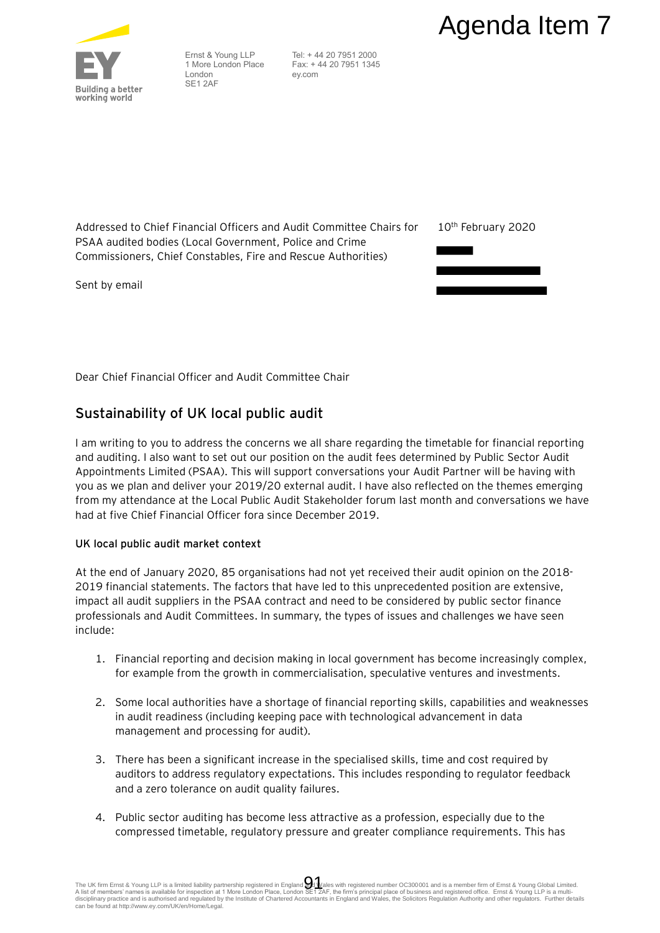

Ernst & Young LLP 1 More London Place London SE1 2AF

 Tel: + 44 20 7951 2000 Fax: + 44 20 7951 1345 ey.com

Addressed to Chief Financial Officers and Audit Committee Chairs for PSAA audited bodies (Local Government, Police and Crime Commissioners, Chief Constables, Fire and Rescue Authorities)

Sent by email

10th February 2020



Dear Chief Financial Officer and Audit Committee Chair

# **Sustainability of UK local public audit**

I am writing to you to address the concerns we all share regarding the timetable for financial reporting and auditing. I also want to set out our position on the audit fees determined by Public Sector Audit Appointments Limited (PSAA). This will support conversations your Audit Partner will be having with you as we plan and deliver your 2019/20 external audit. I have also reflected on the themes emerging from my attendance at the Local Public Audit Stakeholder forum last month and conversations we have had at five Chief Financial Officer fora since December 2019. **Agenda Item 7**<br>
14420 7851 3000<br>
14420 7851 3000<br>
Econ et al. 20 7851 3000<br>
Econ et al. 20 7851 3045<br>
Econ et al. 20 7851 3045<br>
Econ et al. 20 7851 3045<br>
It commentes)<br> **Example 12**<br>
and the same regarding the timetable f

# **UK local public audit market context**

At the end of January 2020, 85 organisations had not yet received their audit opinion on the 2018- 2019 financial statements. The factors that have led to this unprecedented position are extensive, impact all audit suppliers in the PSAA contract and need to be considered by public sector finance professionals and Audit Committees. In summary, the types of issues and challenges we have seen include:

- 1. Financial reporting and decision making in local government has become increasingly complex, for example from the growth in commercialisation, speculative ventures and investments.
- 2. Some local authorities have a shortage of financial reporting skills, capabilities and weaknesses in audit readiness (including keeping pace with technological advancement in data management and processing for audit).
- 3. There has been a significant increase in the specialised skills, time and cost required by auditors to address regulatory expectations. This includes responding to regulator feedback and a zero tolerance on audit quality failures.
- 4. Public sector auditing has become less attractive as a profession, especially due to the compressed timetable, regulatory pressure and greater compliance requirements. This has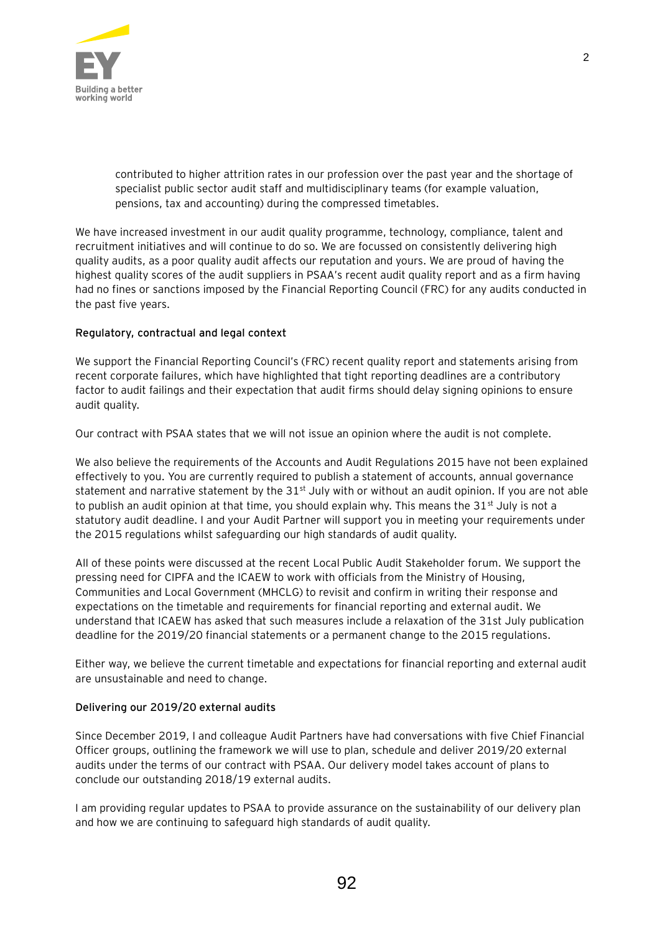

contributed to higher attrition rates in our profession over the past year and the shortage of specialist public sector audit staff and multidisciplinary teams (for example valuation, pensions, tax and accounting) during the compressed timetables.

We have increased investment in our audit quality programme, technology, compliance, talent and recruitment initiatives and will continue to do so. We are focussed on consistently delivering high quality audits, as a poor quality audit affects our reputation and yours. We are proud of having the highest quality scores of the audit suppliers in PSAA's recent audit quality report and as a firm having had no fines or sanctions imposed by the Financial Reporting Council (FRC) for any audits conducted in the past five years.

#### **Regulatory, contractual and legal context**

We support the Financial Reporting Council's (FRC) recent quality report and statements arising from recent corporate failures, which have highlighted that tight reporting deadlines are a contributory factor to audit failings and their expectation that audit firms should delay signing opinions to ensure audit quality.

Our contract with PSAA states that we will not issue an opinion where the audit is not complete.

We also believe the requirements of the Accounts and Audit Regulations 2015 have not been explained effectively to you. You are currently required to publish a statement of accounts, annual governance statement and narrative statement by the  $31<sup>st</sup>$  July with or without an audit opinion. If you are not able to publish an audit opinion at that time, you should explain why. This means the  $31<sup>st</sup>$  July is not a statutory audit deadline. I and your Audit Partner will support you in meeting your requirements under the 2015 regulations whilst safeguarding our high standards of audit quality.

All of these points were discussed at the recent Local Public Audit Stakeholder forum. We support the pressing need for CIPFA and the ICAEW to work with officials from the Ministry of Housing, Communities and Local Government (MHCLG) to revisit and confirm in writing their response and expectations on the timetable and requirements for financial reporting and external audit. We understand that ICAEW has asked that such measures include a relaxation of the 31st July publication deadline for the 2019/20 financial statements or a permanent change to the 2015 regulations.

Either way, we believe the current timetable and expectations for financial reporting and external audit are unsustainable and need to change.

# **Delivering our 2019/20 external audits**

Since December 2019, I and colleague Audit Partners have had conversations with five Chief Financial Officer groups, outlining the framework we will use to plan, schedule and deliver 2019/20 external audits under the terms of our contract with PSAA. Our delivery model takes account of plans to conclude our outstanding 2018/19 external audits.

I am providing regular updates to PSAA to provide assurance on the sustainability of our delivery plan and how we are continuing to safeguard high standards of audit quality.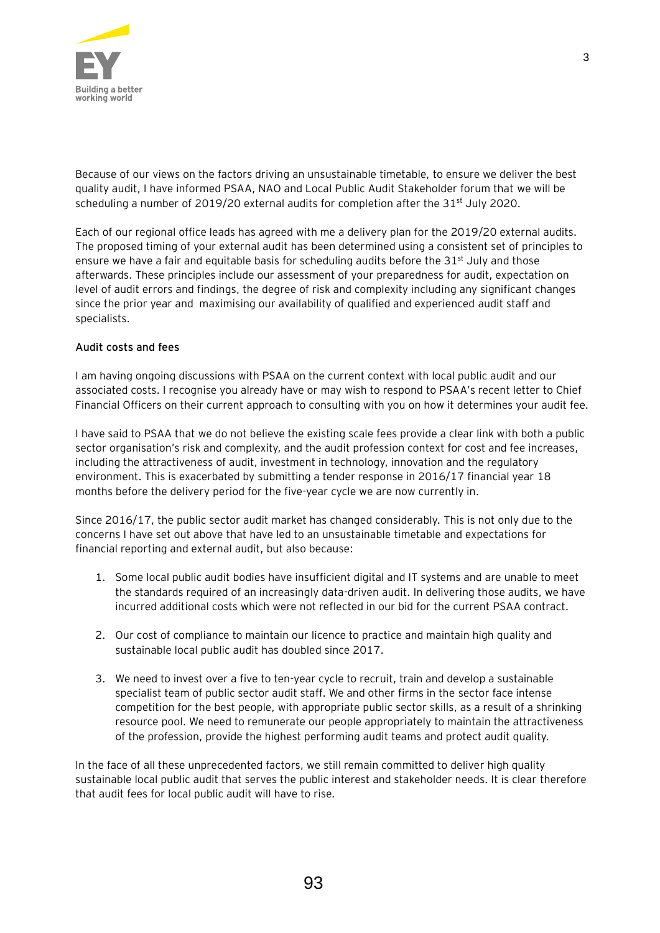

Because of our views on the factors driving an unsustainable timetable, to ensure we deliver the best quality audit, I have informed PSAA, NAO and Local Public Audit Stakeholder forum that we will be scheduling a number of 2019/20 external audits for completion after the  $31<sup>st</sup>$  July 2020.

Each of our regional office leads has agreed with me a delivery plan for the 2019/20 external audits. The proposed timing of your external audit has been determined using a consistent set of principles to ensure we have a fair and equitable basis for scheduling audits before the  $31<sup>st</sup>$  July and those afterwards. These principles include our assessment of your preparedness for audit, expectation on level of audit errors and findings, the degree of risk and complexity including any significant changes since the prior year and maximising our availability of qualified and experienced audit staff and specialists.

#### **Audit costs and fees**

I am having ongoing discussions with PSAA on the current context with local public audit and our associated costs. I recognise you already have or may wish to respond to PSAA's recent letter to Chief Financial Officers on their current approach to consulting with you on how it determines your audit fee.

I have said to PSAA that we do not believe the existing scale fees provide a clear link with both a public sector organisation's risk and complexity, and the audit profession context for cost and fee increases, including the attractiveness of audit, investment in technology, innovation and the regulatory environment. This is exacerbated by submitting a tender response in 2016/17 financial year 18 months before the delivery period for the five-year cycle we are now currently in.

Since 2016/17, the public sector audit market has changed considerably. This is not only due to the concerns I have set out above that have led to an unsustainable timetable and expectations for financial reporting and external audit, but also because:

- 1. Some local public audit bodies have insufficient digital and IT systems and are unable to meet the standards required of an increasingly data-driven audit. In delivering those audits, we have incurred additional costs which were not reflected in our bid for the current PSAA contract.
- 2. Our cost of compliance to maintain our licence to practice and maintain high quality and sustainable local public audit has doubled since 2017.
- 3. We need to invest over a five to ten-year cycle to recruit, train and develop a sustainable specialist team of public sector audit staff. We and other firms in the sector face intense competition for the best people, with appropriate public sector skills, as a result of a shrinking resource pool. We need to remunerate our people appropriately to maintain the attractiveness of the profession, provide the highest performing audit teams and protect audit quality.

In the face of all these unprecedented factors, we still remain committed to deliver high quality sustainable local public audit that serves the public interest and stakeholder needs. It is clear therefore that audit fees for local public audit will have to rise.